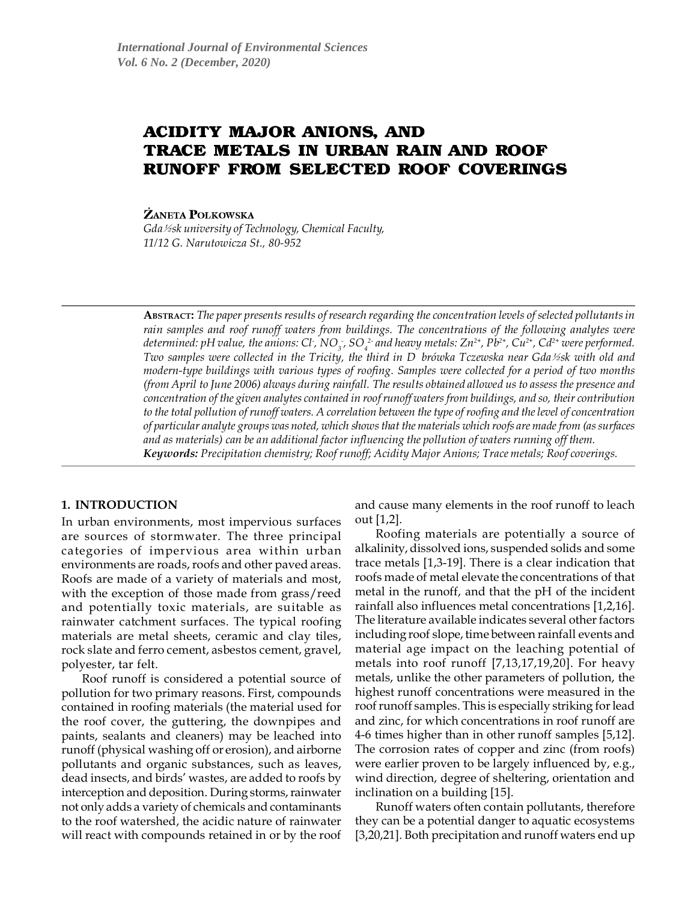# ACIDITY MAJOR ANIONS, AND TRACE METALS IN URBAN RAIN AND ROOF **RUNOFF FROM SELECTED ROOF COVERINGS**

**ŻANETA POLKOWSKA** 

*Gda*½*sk university of Technology, Chemical Faculty,* 11/12 G. Narutowicza St., 80-952

**ABSTRACT:** The paper presents results of research regarding the concentration levels of selected pollutants in rain samples and roof runoff waters from buildings. The concentrations of the following analytes were determined: pH value, the anions: Cl<sup>-</sup>, NO<sub>3</sub>-, SO<sub>4</sub><sup>2-</sup> and heavy metals: Zn<sup>2+</sup>, Pb<sup>2+</sup>, Cu<sup>2+</sup>, Cd<sup>2+</sup> were performed. Two samples were collected in the Tricity, the third in D brówka Tczewska near Gda½sk with old and modern-type buildings with various types of roofing. Samples were collected for a period of two months (from April to June 2006) always during rainfall. The results obtained allowed us to assess the presence and concentration of the given analytes contained in roof runoff waters from buildings, and so, their contribution to the total pollution of runoff waters. A correlation between the type of roofing and the level of concentration of particular analyte groups was noted, which shows that the materials which roofs are made from (as surfaces and as materials) can be an additional factor influencing the pollution of waters running off them. *Keywords:* Precipitation chemistry; Roof runoff; Acidity Major Anions; Trace metals; Roof coverings.

# **1. INTRODUCTION**

In urban environments, most impervious surfaces are sources of stormwater. The three principal categories of impervious area within urban environments are roads, roofs and other paved areas. Roofs are made of a variety of materials and most, with the exception of those made from grass/reed and potentially toxic materials, are suitable as rainwater catchment surfaces. The typical roofing materials are metal sheets, ceramic and clay tiles, rock slate and ferro cement, asbestos cement, gravel, polyester, tar felt.

Roof runoff is considered a potential source of pollution for two primary reasons. First, compounds contained in roofing materials (the material used for the roof cover, the guttering, the downpipes and paints, sealants and cleaners) may be leached into runoff (physical washing off or erosion), and airborne pollutants and organic substances, such as leaves, dead insects, and birds' wastes, are added to roofs by interception and deposition. During storms, rainwater not only adds a variety of chemicals and contaminants to the roof watershed, the acidic nature of rainwater will react with compounds retained in or by the roof

and cause many elements in the roof runoff to leach out [1,2].

Roofing materials are potentially a source of alkalinity, dissolved ions, suspended solids and some trace metals [1,3-19]. There is a clear indication that roofs made of metal elevate the concentrations of that metal in the runoff, and that the pH of the incident rainfall also influences metal concentrations [1,2,16]. The literature available indicates several other factors including roof slope, time between rainfall events and material age impact on the leaching potential of metals into roof runoff [7,13,17,19,20]. For heavy metals, unlike the other parameters of pollution, the highest runoff concentrations were measured in the roof runoff samples. This is especially striking for lead and zinc, for which concentrations in roof runoff are 4-6 times higher than in other runoff samples [5,12]. The corrosion rates of copper and zinc (from roofs) were earlier proven to be largely influenced by, e.g., wind direction, degree of sheltering, orientation and inclination on a building [15].

Runoff waters often contain pollutants, therefore they can be a potential danger to aquatic ecosystems [3,20,21]. Both precipitation and runoff waters end up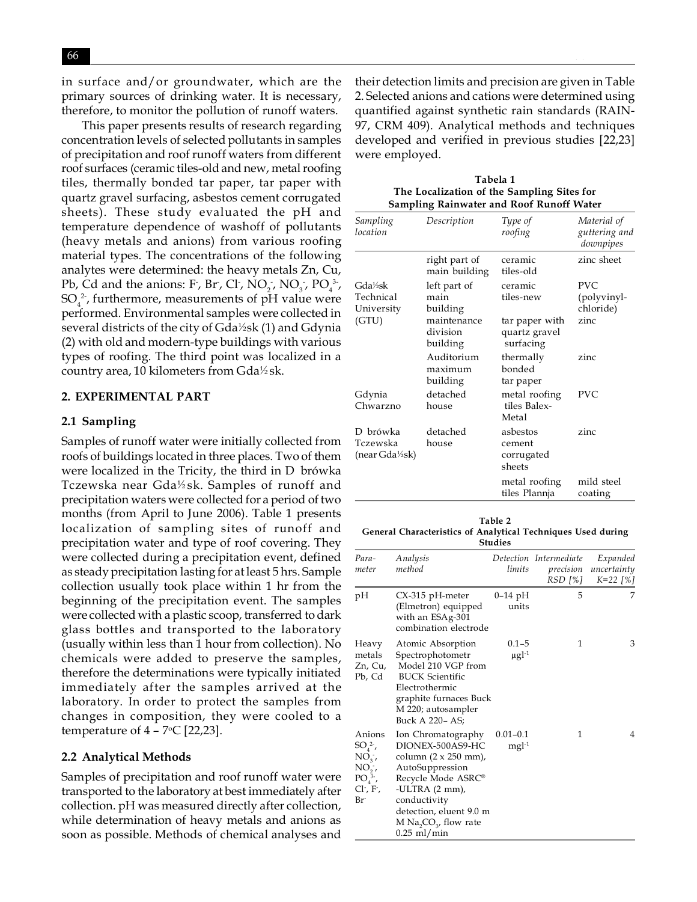in surface and/or groundwater, which are the primary sources of drinking water. It is necessary, therefore, to monitor the pollution of runoff waters.

This paper presents results of research regarding concentration levels of selected pollutants in samples of precipitation and roof runoff waters from different roof surfaces (ceramic tiles-old and new, metal roofing tiles, thermally bonded tar paper, tar paper with quartz gravel surfacing, asbestos cement corrugated sheets). These study evaluated the pH and temperature dependence of washoff of pollutants (heavy metals and anions) from various roofing material types. The concentrations of the following analytes were determined: the heavy metals Zn, Cu, Pb, Cd and the anions: F, Br, Cl,  $NO_2$ ,  $NO_3$ ,  $PO_4^3$ ,  $\mathrm{SO}_4^2$ <sup>2</sup>, furthermore, measurements of pH value were performed. Environmental samples were collected in several districts of the city of Gda½sk (1) and Gdynia (2) with old and modern-type buildings with various types of roofing. The third point was localized in a country area, 10 kilometers from Gda½sk.

#### **2. EXPERIMENTAL PART**

#### **2.1 Sampling**

Samples of runoff water were initially collected from roofs of buildings located in three places. Two of them were localized in the Tricity, the third in D brówka Tczewska near Gda½sk. Samples of runoff and precipitation waters were collected for a period of two months (from April to June 2006). Table 1 presents localization of sampling sites of runoff and precipitation water and type of roof covering. They were collected during a precipitation event, defined as steady precipitation lasting for at least 5 hrs. Sample collection usually took place within 1 hr from the beginning of the precipitation event. The samples were collected with a plastic scoop, transferred to dark glass bottles and transported to the laboratory (usually within less than 1 hour from collection). No chemicals were added to preserve the samples, therefore the determinations were typically initiated immediately after the samples arrived at the laboratory. In order to protect the samples from changes in composition, they were cooled to a temperature of  $4$  –  $7^{\circ}$ C [22,23].

#### **2.2 Analytical Methods**

Samples of precipitation and roof runoff water were transported to the laboratory at best immediately after collection. pH was measured directly after collection, while determination of heavy metals and anions as soon as possible. Methods of chemical analyses and

their detection limits and precision are given in Table 2. Selected anions and cations were determined using quantified against synthetic rain standards (RAIN-97, CRM 409). Analytical methods and techniques developed and verified in previous studies [22,23] were employed.

| Tabela 1                                        |
|-------------------------------------------------|
| The Localization of the Sampling Sites for      |
| <b>Sampling Rainwater and Roof Runoff Water</b> |
|                                                 |

| Sampling<br>location                  | Description                         | Type of<br>roofing                           | Material of<br>guttering and<br>downpipes |
|---------------------------------------|-------------------------------------|----------------------------------------------|-------------------------------------------|
|                                       | right part of<br>main building      | ceramic<br>tiles-old                         | zinc sheet                                |
| Gda½sk<br>Technical<br>University     | left part of<br>main<br>building    | ceramic<br>tiles-new                         | PVC.<br>(polyvinyl-<br>chloride)          |
| (GTU)                                 | maintenance<br>division<br>building | tar paper with<br>quartz gravel<br>surfacing | zinc                                      |
|                                       | Auditorium<br>maximum<br>building   | thermally<br>bonded<br>tar paper             | zinc                                      |
| Gdynia<br>Chwarzno                    | detached<br>house                   | metal roofing<br>tiles Balex-<br>Metal       | PVC                                       |
| D brówka<br>Tczewska<br>(near Gda½sk) | detached<br>house                   | asbestos<br>cement<br>corrugated<br>sheets   | zinc                                      |
|                                       |                                     | metal roofing<br>tiles Plannja               | mild steel<br>coating                     |

#### **Table 2 General Characteristics of Analytical Techniques Used during Studies**

| Para-<br>meter                                                                                                  | Analysis<br>method                                                                                                                                                                                                                                                   | limits                              | Detection Intermediate<br>RSD [%] | Expanded<br>precision uncertainty<br>$K=22$ [%] |
|-----------------------------------------------------------------------------------------------------------------|----------------------------------------------------------------------------------------------------------------------------------------------------------------------------------------------------------------------------------------------------------------------|-------------------------------------|-----------------------------------|-------------------------------------------------|
| pН                                                                                                              | CX-315 pH-meter<br>(Elmetron) equipped<br>with an ESAg-301<br>combination electrode                                                                                                                                                                                  | $0-14$ pH<br>units                  | 5                                 | 7                                               |
| Heavy<br>metals<br>Zn, Cu,<br>Pb, Cd                                                                            | Atomic Absorption<br>Spectrophotometr<br>Model 210 VGP from<br><b>BUCK Scientific</b><br>Electrothermic<br>graphite furnaces Buck<br>M 220; autosampler<br>Buck A 220- AS;                                                                                           | $0.1 - 5$<br>$\mu$ gl <sup>-1</sup> | 1                                 | 3                                               |
| Anions<br>$SO_4^2$ ,<br>$NO2$ ,<br>$NO,$ ;<br>$PO43-,$<br>Cl <sup>-</sup> , F <sup>-</sup> ,<br>Br <sup>-</sup> | Ion Chromatography<br>DIONEX-500AS9-HC<br>column $(2 \times 250$ mm),<br>AutoSuppression<br>Recycle Mode ASRC <sup>®</sup><br>-ULTRA $(2 \text{ mm})$ ,<br>conductivity<br>detection, eluent 9.0 m<br>M Na <sub>2</sub> CO <sub>2</sub> , flow rate<br>$0.25$ ml/min | $0.01 - 0.1$<br>$mgl-1$             | 1                                 | 4                                               |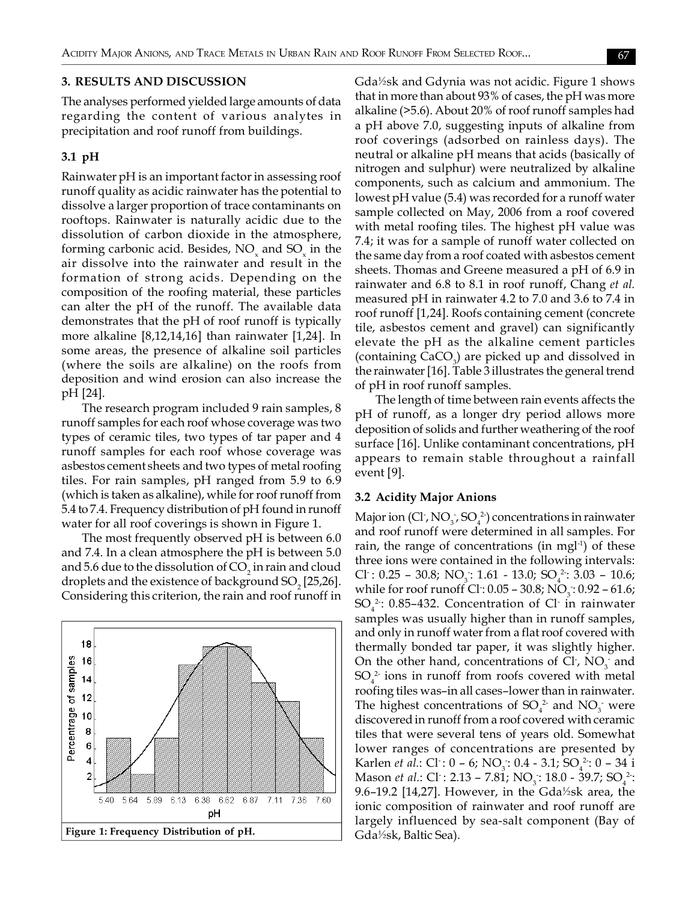### **3. RESULTS AND DISCUSSION**

The analyses performed yielded large amounts of data regarding the content of various analytes in precipitation and roof runoff from buildings.

## **3.1 pH**

Rainwater pH is an important factor in assessing roof runoff quality as acidic rainwater has the potential to dissolve a larger proportion of trace contaminants on rooftops. Rainwater is naturally acidic due to the dissolution of carbon dioxide in the atmosphere, forming carbonic acid. Besides,  $\rm NO_{\mathbf{x}}$  and  $\rm SO_{\mathbf{x}}$  in the air dissolve into the rainwater and result in the formation of strong acids. Depending on the composition of the roofing material, these particles can alter the pH of the runoff. The available data demonstrates that the pH of roof runoff is typically more alkaline [8,12,14,16] than rainwater [1,24]. In some areas, the presence of alkaline soil particles (where the soils are alkaline) on the roofs from deposition and wind erosion can also increase the pH [24].

The research program included 9 rain samples, 8 runoff samples for each roof whose coverage was two types of ceramic tiles, two types of tar paper and 4 runoff samples for each roof whose coverage was asbestos cement sheets and two types of metal roofing tiles. For rain samples, pH ranged from 5.9 to 6.9 (which is taken as alkaline), while for roof runoff from 5.4 to 7.4. Frequency distribution of pH found in runoff water for all roof coverings is shown in Figure 1.

The most frequently observed pH is between 6.0 and 7.4. In a clean atmosphere the pH is between 5.0 and 5.6 due to the dissolution of CO<sub>2</sub> in rain and cloud droplets and the existence of background SO<sub>2</sub> [25,26]. Considering this criterion, the rain and roof runoff in



Gda½sk and Gdynia was not acidic. Figure 1 shows that in more than about 93% of cases, the pH was more alkaline (>5.6). About 20% of roof runoff samples had a pH above 7.0, suggesting inputs of alkaline from roof coverings (adsorbed on rainless days). The neutral or alkaline pH means that acids (basically of nitrogen and sulphur) were neutralized by alkaline components, such as calcium and ammonium. The lowest pH value (5.4) was recorded for a runoff water sample collected on May, 2006 from a roof covered with metal roofing tiles. The highest pH value was 7.4; it was for a sample of runoff water collected on the same day from a roof coated with asbestos cement sheets. Thomas and Greene measured a pH of 6.9 in rainwater and 6.8 to 8.1 in roof runoff, Chang *et al.* measured pH in rainwater 4.2 to 7.0 and 3.6 to 7.4 in roof runoff [1,24]. Roofs containing cement (concrete tile, asbestos cement and gravel) can significantly elevate the pH as the alkaline cement particles (containing  $\text{CaCO}_3$ ) are picked up and dissolved in the rainwater [16]. Table 3 illustrates the general trend of pH in roof runoff samples.

The length of time between rain events affects the pH of runoff, as a longer dry period allows more deposition of solids and further weathering of the roof surface [16]. Unlike contaminant concentrations, pH appears to remain stable throughout a rainfall event [9].

#### **3.2 Acidity Major Anions**

Major ion (Cl<sup>-</sup>, NO<sub>3</sub>, SO<sub>4</sub><sup>2</sup>) concentrations in rainwater and roof runoff were determined in all samples. For rain, the range of concentrations (in mgl<sup>-1</sup>) of these three ions were contained in the following intervals: Cl:  $0.25 - 30.8$ ; NO<sub>3</sub>: 1.61 - 13.0; SO<sub>4</sub><sup>2</sup>: 3.03 - 10.6; while for roof runoff Cl :  $0.05$  –  $30.8$ ; NO<sub>3</sub> :  $0.92$  –  $61.6$ ;  $SO_4^2$ : 0.85–432. Concentration of Cl<sup>-</sup> in rainwater samples was usually higher than in runoff samples, and only in runoff water from a flat roof covered with thermally bonded tar paper, it was slightly higher. On the other hand, concentrations of Cl,  $NO_3^-$  and  $SO_4^2$  ions in runoff from roofs covered with metal roofing tiles was–in all cases–lower than in rainwater. The highest concentrations of  $SO_4^2$  and  $NO_3^-$  were discovered in runoff from a roof covered with ceramic tiles that were several tens of years old. Somewhat lower ranges of concentrations are presented by Karlen *et al.*: Cl<sup>-</sup>: 0 – 6; NO<sub>3</sub>: 0.4 - 3.1; SO<sub>4</sub><sup>2</sup>: 0 – 34 i Mason *et al.*: Cl : 2.13 – 7.81; NO<sub>3</sub>: 18.0 - 39.7; SO<sub>4</sub><sup>2</sup>: 9.6–19.2 [14,27]. However, in the Gda½sk area, the ionic composition of rainwater and roof runoff are largely influenced by sea-salt component (Bay of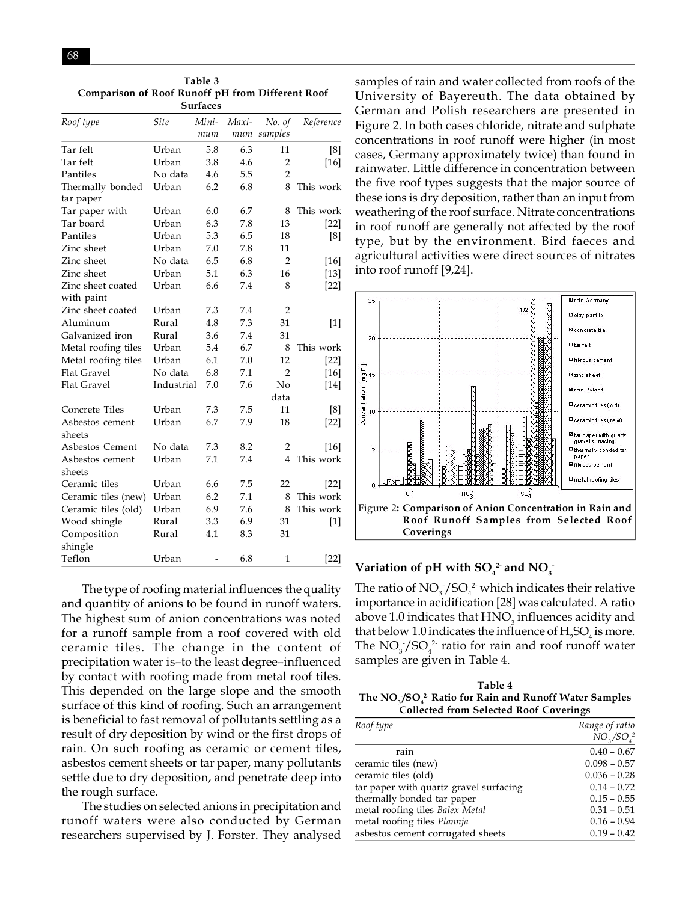| Comparison of Koof Kunoff pH from Different Koof<br><b>Surfaces</b> |             |              |              |                   |                   |
|---------------------------------------------------------------------|-------------|--------------|--------------|-------------------|-------------------|
| Roof type                                                           | <b>Site</b> | Mini-<br>тит | Maxi-<br>mum | No. of<br>samples | Reference         |
| Tar felt                                                            | Urban       | 5.8          | 6.3          | 11                | [8]               |
| Tar felt                                                            | Urban       | 3.8          | 4.6          | $\overline{2}$    | $[16]$            |
| Pantiles                                                            | No data     | 4.6          | 5.5          | $\overline{2}$    |                   |
| Thermally bonded<br>tar paper                                       | Urban       | 6.2          | 6.8          | 8                 | This work         |
| Tar paper with                                                      | Urban       | 6.0          | 6.7          | 8                 | This work         |
| Tar board                                                           | Urban       | 6.3          | 7.8          | 13                | $[22]$            |
| Pantiles                                                            | Urban       | 5.3          | 6.5          | 18                | [8]               |
| Zinc sheet                                                          | Urban       | 7.0          | 7.8          | 11                |                   |
| Zinc sheet                                                          | No data     | 6.5          | 6.8          | $\overline{2}$    | $[16]$            |
| Zinc sheet                                                          | Urban       | 5.1          | 6.3          | 16                | $[13]$            |
| Zinc sheet coated<br>with paint                                     | Urban       | 6.6          | 7.4          | 8                 | $[22]$            |
| Zinc sheet coated                                                   | Urban       | 7.3          | 7.4          | $\overline{2}$    |                   |
| Aluminum                                                            | Rural       | 4.8          | 7.3          | 31                | $\lceil 1 \rceil$ |
| Galvanized iron                                                     | Rural       | 3.6          | 7.4          | 31                |                   |
| Metal roofing tiles                                                 | Urban       | 5.4          | 6.7          | 8                 | This work         |
| Metal roofing tiles                                                 | Urban       | 6.1          | 7.0          | 12                | $[22]$            |
| <b>Flat Gravel</b>                                                  | No data     | 6.8          | 7.1          | 2                 | $[16]$            |
| <b>Flat Gravel</b>                                                  | Industrial  | 7.0          | 7.6          | No<br>data        | $[14]$            |
| Concrete Tiles                                                      | Urban       | 7.3          | 7.5          | 11                | [8]               |
| Asbestos cement<br>sheets                                           | Urban       | 6.7          | 7.9          | 18                | $[22]$            |
| Asbestos Cement                                                     | No data     | 7.3          | 8.2          | $\overline{2}$    | $[16]$            |
| Asbestos cement<br>sheets                                           | Urban       | 7.1          | 7.4          | 4                 | This work         |
| Ceramic tiles                                                       | Urban       | 6.6          | 7.5          | 22                | $[22]$            |
| Ceramic tiles (new)                                                 | Urban       | 6.2          | 7.1          | 8                 | This work         |
| Ceramic tiles (old)                                                 | Urban       | 6.9          | 7.6          | 8                 | This work         |
| Wood shingle                                                        | Rural       | 3.3          | 6.9          | 31                | $[1]$             |
| Composition<br>shingle                                              | Rural       | 4.1          | 8.3          | 31                |                   |
| Teflon                                                              | Urban       | -            | 6.8          | $\mathbf{1}$      | $[22]$            |

**Table 3 Comparison of Roof Runoff pH from Different Roof**

The type of roofing material influences the quality and quantity of anions to be found in runoff waters. The highest sum of anion concentrations was noted for a runoff sample from a roof covered with old ceramic tiles. The change in the content of precipitation water is–to the least degree–influenced by contact with roofing made from metal roof tiles. This depended on the large slope and the smooth surface of this kind of roofing. Such an arrangement is beneficial to fast removal of pollutants settling as a result of dry deposition by wind or the first drops of rain. On such roofing as ceramic or cement tiles, asbestos cement sheets or tar paper, many pollutants settle due to dry deposition, and penetrate deep into the rough surface.

The studies on selected anions in precipitation and runoff waters were also conducted by German researchers supervised by J. Forster. They analysed samples of rain and water collected from roofs of the University of Bayereuth. The data obtained by German and Polish researchers are presented in Figure 2. In both cases chloride, nitrate and sulphate concentrations in roof runoff were higher (in most cases, Germany approximately twice) than found in rainwater. Little difference in concentration between the five roof types suggests that the major source of these ions is dry deposition, rather than an input from weathering of the roof surface. Nitrate concentrations in roof runoff are generally not affected by the roof type, but by the environment. Bird faeces and agricultural activities were direct sources of nitrates into roof runoff [9,24].



# Variation of pH with  $SO_4^2$  and  $NO_3^-$

The ratio of  $NO_3^-/SO_4^2$  which indicates their relative importance in acidification [28] was calculated. A ratio above 1.0 indicates that  $\mathrm{HNO}_3^{}$  influences acidity and that below 1.0 indicates the influence of  $\rm{H}_{2}SO_{4}$  is more. The  $NO_3^-/SO_4^{\ 2}$  ratio for rain and roof runoff water samples are given in Table 4.

**Table 4 The NO3 - /SO4 2- Ratio for Rain and Runoff Water Samples Collected from Selected Roof Coverings**

| Roof type                              | Range of ratio |
|----------------------------------------|----------------|
|                                        | $NO_3/SO_4^2$  |
| rain                                   | $0.40 - 0.67$  |
| ceramic tiles (new)                    | $0.098 - 0.57$ |
| ceramic tiles (old)                    | $0.036 - 0.28$ |
| tar paper with quartz gravel surfacing | $0.14 - 0.72$  |
| thermally bonded tar paper             | $0.15 - 0.55$  |
| metal roofing tiles Balex Metal        | $0.31 - 0.51$  |
| metal roofing tiles Plannja            | $0.16 - 0.94$  |
| asbestos cement corrugated sheets      | $0.19 - 0.42$  |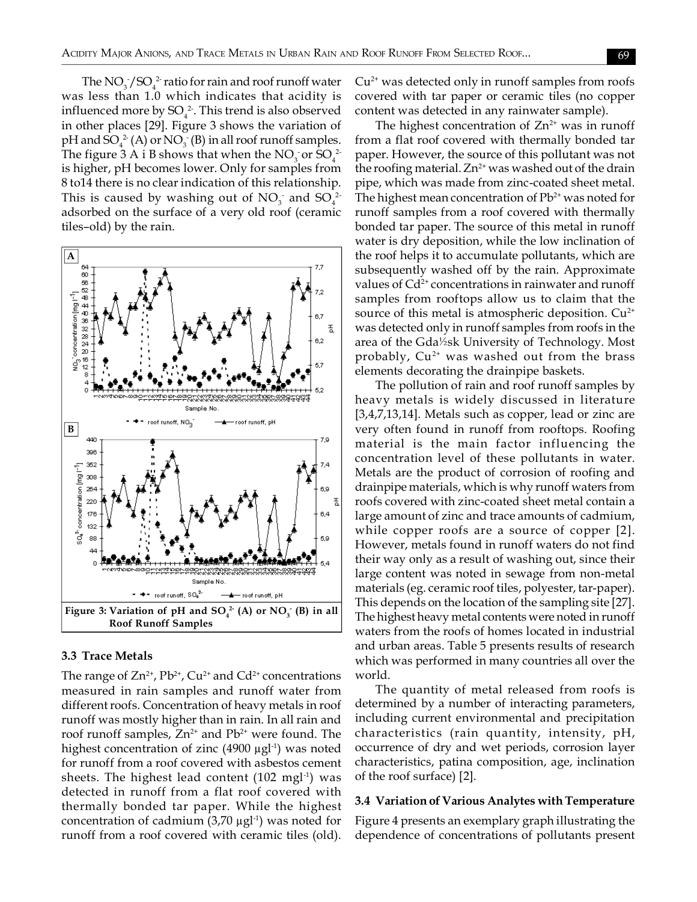The  $\rm NO_3^-/SO_4^{-2}$  ratio for rain and roof runoff water was less than 1.0 which indicates that acidity is influenced more by SO $_4^2$ . This trend is also observed in other places [29]. Figure 3 shows the variation of pH and  $\text{SO}_4^{\,2}$  (A) or  $\text{NO}_3^{\,2}$  (B) in all roof runoff samples. The figure 3 A i B shows that when the  $NO_3$  or  $SO_4^2$ is higher, pH becomes lower. Only for samples from 8 to14 there is no clear indication of this relationship. This is caused by washing out of  $NO_3^-$  and  $SO_4^{2-}$ adsorbed on the surface of a very old roof (ceramic tiles–old) by the rain.



## **3.3 Trace Metals**

The range of  $Zn^{2+}$ ,  $Pb^{2+}$ ,  $Cu^{2+}$  and  $Cd^{2+}$  concentrations measured in rain samples and runoff water from different roofs. Concentration of heavy metals in roof runoff was mostly higher than in rain. In all rain and roof runoff samples,  $Zn^{2+}$  and  $Pb^{2+}$  were found. The highest concentration of zinc  $(4900 \mu g l^{-1})$  was noted for runoff from a roof covered with asbestos cement sheets. The highest lead content  $(102 \text{ mg}^1)$  was detected in runoff from a flat roof covered with thermally bonded tar paper. While the highest concentration of cadmium  $(3,70 \mu g l^{-1})$  was noted for runoff from a roof covered with ceramic tiles (old).  $Cu<sup>2+</sup>$  was detected only in runoff samples from roofs covered with tar paper or ceramic tiles (no copper content was detected in any rainwater sample).

The highest concentration of  $Zn^{2+}$  was in runoff from a flat roof covered with thermally bonded tar paper. However, the source of this pollutant was not the roofing material.  $Zn^{2+}$  was washed out of the drain pipe, which was made from zinc-coated sheet metal. The highest mean concentration of  $Pb^{2+}$  was noted for runoff samples from a roof covered with thermally bonded tar paper. The source of this metal in runoff water is dry deposition, while the low inclination of the roof helps it to accumulate pollutants, which are subsequently washed off by the rain. Approximate values of  $Cd^{2+}$  concentrations in rainwater and runoff samples from rooftops allow us to claim that the source of this metal is atmospheric deposition.  $Cu^{2+}$ was detected only in runoff samples from roofs in the area of the Gda½sk University of Technology. Most probably,  $Cu^{2+}$  was washed out from the brass elements decorating the drainpipe baskets.

The pollution of rain and roof runoff samples by heavy metals is widely discussed in literature [3,4,7,13,14]. Metals such as copper, lead or zinc are very often found in runoff from rooftops. Roofing material is the main factor influencing the concentration level of these pollutants in water. Metals are the product of corrosion of roofing and drainpipe materials, which is why runoff waters from roofs covered with zinc-coated sheet metal contain a large amount of zinc and trace amounts of cadmium, while copper roofs are a source of copper [2]. However, metals found in runoff waters do not find their way only as a result of washing out, since their large content was noted in sewage from non-metal materials (eg. ceramic roof tiles, polyester, tar-paper). This depends on the location of the sampling site [27]. The highest heavy metal contents were noted in runoff waters from the roofs of homes located in industrial and urban areas. Table 5 presents results of research which was performed in many countries all over the world.

The quantity of metal released from roofs is determined by a number of interacting parameters, including current environmental and precipitation characteristics (rain quantity, intensity, pH, occurrence of dry and wet periods, corrosion layer characteristics, patina composition, age, inclination of the roof surface) [2].

### **3.4 Variation of Various Analytes with Temperature**

Figure 4 presents an exemplary graph illustrating the dependence of concentrations of pollutants present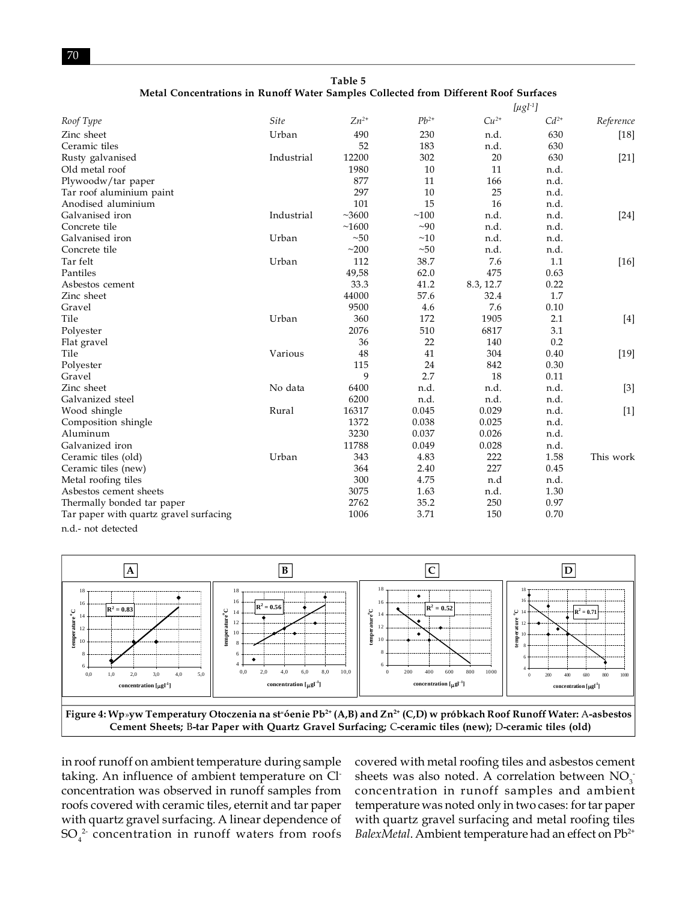**Table 5 Metal Concentrations in Runoff Water Samples Collected from Different Roof Surfaces**

|                                        |            |           |           |           | $[\mu g l^{-1}]$ |           |
|----------------------------------------|------------|-----------|-----------|-----------|------------------|-----------|
| Roof Type                              | Site       | $Zn^{2+}$ | $Pb^{2+}$ | $Cu2+$    | $Cd^{2+}$        | Reference |
| Zinc sheet                             | Urban      | 490       | 230       | n.d.      | 630              | $[18]$    |
| Ceramic tiles                          |            | 52        | 183       | n.d.      | 630              |           |
| Rusty galvanised                       | Industrial | 12200     | 302       | 20        | 630              | $[21]$    |
| Old metal roof                         |            | 1980      | 10        | 11        | n.d.             |           |
| Plywoodw/tar paper                     |            | 877       | 11        | 166       | n.d.             |           |
| Tar roof aluminium paint               |            | 297       | 10        | 25        | n.d.             |           |
| Anodised aluminium                     |            | 101       | 15        | 16        | n.d.             |           |
| Galvanised iron                        | Industrial | ~100      | ~100      | n.d.      | n.d.             | $[24]$    |
| Concrete tile                          |            | ~1600     | $\sim 90$ | n.d.      | n.d.             |           |
| Galvanised iron                        | Urban      | ~50       | ~10       | n.d.      | n.d.             |           |
| Concrete tile                          |            | ~200      | ~50       | n.d.      | n.d.             |           |
| Tar felt                               | Urban      | 112       | 38.7      | 7.6       | 1.1              | $[16]$    |
| Pantiles                               |            | 49,58     | 62.0      | 475       | 0.63             |           |
| Asbestos cement                        |            | 33.3      | 41.2      | 8.3, 12.7 | 0.22             |           |
| Zinc sheet                             |            | 44000     | 57.6      | 32.4      | 1.7              |           |
| Gravel                                 |            | 9500      | 4.6       | 7.6       | 0.10             |           |
| Tile                                   | Urban      | 360       | 172       | 1905      | 2.1              | $[4]$     |
| Polyester                              |            | 2076      | 510       | 6817      | 3.1              |           |
| Flat gravel                            |            | 36        | 22        | 140       | 0.2              |           |
| Tile                                   | Various    | 48        | 41        | 304       | 0.40             | $[19]$    |
| Polyester                              |            | 115       | 24        | 842       | 0.30             |           |
| Gravel                                 |            | 9         | 2.7       | 18        | 0.11             |           |
| Zinc sheet                             | No data    | 6400      | n.d.      | n.d.      | n.d.             | $[3]$     |
| Galvanized steel                       |            | 6200      | n.d.      | n.d.      | n.d.             |           |
| Wood shingle                           | Rural      | 16317     | 0.045     | 0.029     | n.d.             | $[1]$     |
| Composition shingle                    |            | 1372      | 0.038     | 0.025     | n.d.             |           |
| Aluminum                               |            | 3230      | 0.037     | 0.026     | n.d.             |           |
| Galvanized iron                        |            | 11788     | 0.049     | 0.028     | n.d.             |           |
| Ceramic tiles (old)                    | Urban      | 343       | 4.83      | 222       | 1.58             | This work |
| Ceramic tiles (new)                    |            | 364       | 2.40      | 227       | 0.45             |           |
| Metal roofing tiles                    |            | 300       | 4.75      | n.d       | n.d.             |           |
| Asbestos cement sheets                 |            | 3075      | 1.63      | n.d.      | 1.30             |           |
| Thermally bonded tar paper             |            | 2762      | 35.2      | 250       | 0.97             |           |
| Tar paper with quartz gravel surfacing |            | 1006      | 3.71      | 150       | 0.70             |           |
| n.d.- not detected                     |            |           |           |           |                  |           |



in roof runoff on ambient temperature during sample taking. An influence of ambient temperature on Clconcentration was observed in runoff samples from roofs covered with ceramic tiles, eternit and tar paper with quartz gravel surfacing. A linear dependence of  $\mathrm{SO}_4^2$  concentration in runoff waters from roofs

covered with metal roofing tiles and asbestos cement sheets was also noted. A correlation between  $NO_3^$ concentration in runoff samples and ambient temperature was noted only in two cases: for tar paper with quartz gravel surfacing and metal roofing tiles *BalexMetal*. Ambient temperature had an effect on Pb2+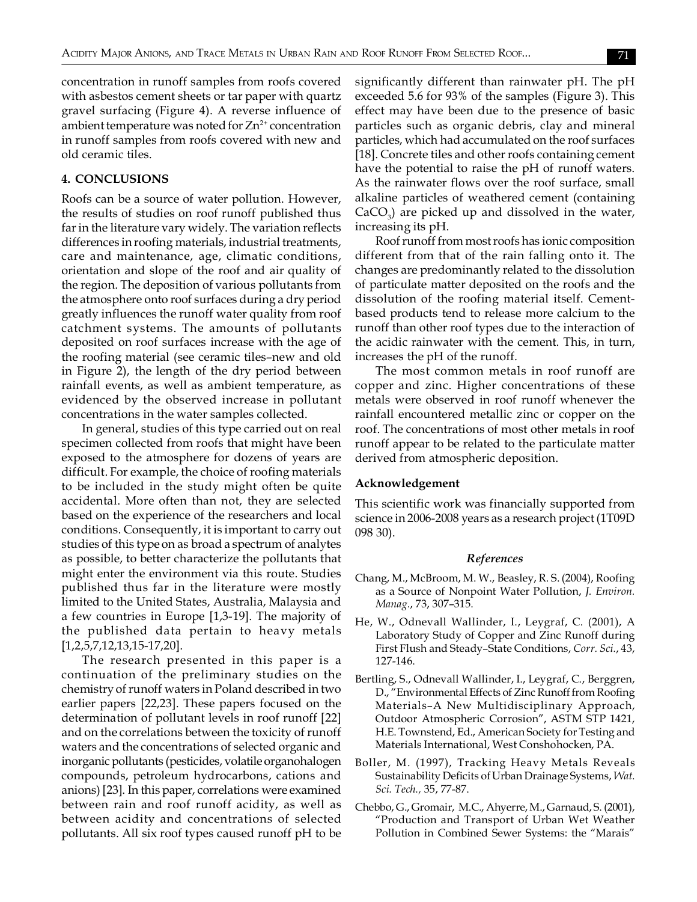concentration in runoff samples from roofs covered with asbestos cement sheets or tar paper with quartz gravel surfacing (Figure 4). A reverse influence of ambient temperature was noted for  $Zn^{2+}$  concentration in runoff samples from roofs covered with new and old ceramic tiles.

#### **4. CONCLUSIONS**

Roofs can be a source of water pollution. However, the results of studies on roof runoff published thus far in the literature vary widely. The variation reflects differences in roofing materials, industrial treatments, care and maintenance, age, climatic conditions, orientation and slope of the roof and air quality of the region. The deposition of various pollutants from the atmosphere onto roof surfaces during a dry period greatly influences the runoff water quality from roof catchment systems. The amounts of pollutants deposited on roof surfaces increase with the age of the roofing material (see ceramic tiles–new and old in Figure 2), the length of the dry period between rainfall events, as well as ambient temperature, as evidenced by the observed increase in pollutant concentrations in the water samples collected.

In general, studies of this type carried out on real specimen collected from roofs that might have been exposed to the atmosphere for dozens of years are difficult. For example, the choice of roofing materials to be included in the study might often be quite accidental. More often than not, they are selected based on the experience of the researchers and local conditions. Consequently, it is important to carry out studies of this type on as broad a spectrum of analytes as possible, to better characterize the pollutants that might enter the environment via this route. Studies published thus far in the literature were mostly limited to the United States, Australia, Malaysia and a few countries in Europe [1,3-19]. The majority of the published data pertain to heavy metals [1,2,5,7,12,13,15-17,20].

The research presented in this paper is a continuation of the preliminary studies on the chemistry of runoff waters in Poland described in two earlier papers [22,23]. These papers focused on the determination of pollutant levels in roof runoff [22] and on the correlations between the toxicity of runoff waters and the concentrations of selected organic and inorganic pollutants (pesticides, volatile organohalogen compounds, petroleum hydrocarbons, cations and anions) [23]. In this paper, correlations were examined between rain and roof runoff acidity, as well as between acidity and concentrations of selected pollutants. All six roof types caused runoff pH to be significantly different than rainwater pH. The pH exceeded 5.6 for 93% of the samples (Figure 3). This effect may have been due to the presence of basic particles such as organic debris, clay and mineral particles, which had accumulated on the roof surfaces [18]. Concrete tiles and other roofs containing cement have the potential to raise the pH of runoff waters. As the rainwater flows over the roof surface, small alkaline particles of weathered cement (containing  $CaCO<sub>3</sub>$ ) are picked up and dissolved in the water, increasing its pH.

Roof runoff from most roofs has ionic composition different from that of the rain falling onto it. The changes are predominantly related to the dissolution of particulate matter deposited on the roofs and the dissolution of the roofing material itself. Cementbased products tend to release more calcium to the runoff than other roof types due to the interaction of the acidic rainwater with the cement. This, in turn, increases the pH of the runoff.

The most common metals in roof runoff are copper and zinc. Higher concentrations of these metals were observed in roof runoff whenever the rainfall encountered metallic zinc or copper on the roof. The concentrations of most other metals in roof runoff appear to be related to the particulate matter derived from atmospheric deposition.

#### **Acknowledgement**

This scientific work was financially supported from science in 2006-2008 years as a research project (1T09D 098 30).

#### *References*

- Chang, M., McBroom, M. W., Beasley, R. S. (2004), Roofing as a Source of Nonpoint Water Pollution, *J. Environ. Manag.*, 73, 307–315.
- He, W., Odnevall Wallinder, I., Leygraf, C. (2001), A Laboratory Study of Copper and Zinc Runoff during First Flush and Steady–State Conditions, *Corr. Sci.*, 43, 127-146.
- Bertling, S., Odnevall Wallinder, I., Leygraf, C., Berggren, D., "Environmental Effects of Zinc Runoff from Roofing Materials–A New Multidisciplinary Approach, Outdoor Atmospheric Corrosion", ASTM STP 1421, H.E. Townstend, Ed., American Society for Testing and Materials International, West Conshohocken, PA.
- Boller, M. (1997), Tracking Heavy Metals Reveals Sustainability Deficits of Urban Drainage Systems, *Wat. Sci. Tech.,* 35, 77-87.
- Chebbo, G., Gromair, M.C., Ahyerre, M., Garnaud, S. (2001), "Production and Transport of Urban Wet Weather Pollution in Combined Sewer Systems: the "Marais"